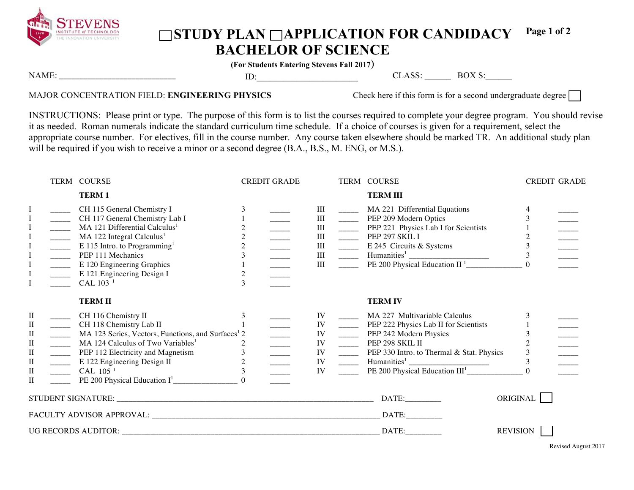

## ◯STUDY PLAN ◯APPLICATION FOR CANDIDACY **BACHELOR OF SCIENCE Page 1 of 2**

**(For Students Entering Stevens Fall 2017**)

| N          | -- |  | ιv<br>. . |
|------------|----|--|-----------|
| .<br>_____ |    |  |           |
|            |    |  |           |
|            |    |  |           |

## MAJOR CONCENTRATION FIELD: **ENGINEERING PHYSICS** Check here if this form is for a second undergraduate degree

INSTRUCTIONS: Please print or type. The purpose of this form is to list the courses required to complete your degree program. You should revise it as needed. Roman numerals indicate the standard curriculum time schedule. If a choice of courses is given for a requirement, select the appropriate course number. For electives, fill in the course number. Any course taken elsewhere should be marked TR. An additional study plan will be required if you wish to receive a minor or a second degree (B.A., B.S., M. ENG, or M.S.).

|                                                                                        |                                                                                                                                                                                                                                                                                                                                                                                                                                                                                                                            | TERM COURSE                                                                                                                                                                                                                                                                                             |                                                         | <b>CREDIT GRADE</b>                                                                                                                                                                                                                                                                                                                                                                                                                                                                                                                                                                                                                                                   |                                        |                                                                                                                                                                                                                                                                                                                                                                                                                                                        | TERM COURSE                                                                                                                                                             | <b>CREDIT GRADE</b> |  |
|----------------------------------------------------------------------------------------|----------------------------------------------------------------------------------------------------------------------------------------------------------------------------------------------------------------------------------------------------------------------------------------------------------------------------------------------------------------------------------------------------------------------------------------------------------------------------------------------------------------------------|---------------------------------------------------------------------------------------------------------------------------------------------------------------------------------------------------------------------------------------------------------------------------------------------------------|---------------------------------------------------------|-----------------------------------------------------------------------------------------------------------------------------------------------------------------------------------------------------------------------------------------------------------------------------------------------------------------------------------------------------------------------------------------------------------------------------------------------------------------------------------------------------------------------------------------------------------------------------------------------------------------------------------------------------------------------|----------------------------------------|--------------------------------------------------------------------------------------------------------------------------------------------------------------------------------------------------------------------------------------------------------------------------------------------------------------------------------------------------------------------------------------------------------------------------------------------------------|-------------------------------------------------------------------------------------------------------------------------------------------------------------------------|---------------------|--|
|                                                                                        |                                                                                                                                                                                                                                                                                                                                                                                                                                                                                                                            | <b>TERM1</b>                                                                                                                                                                                                                                                                                            |                                                         |                                                                                                                                                                                                                                                                                                                                                                                                                                                                                                                                                                                                                                                                       |                                        |                                                                                                                                                                                                                                                                                                                                                                                                                                                        | <b>TERM III</b>                                                                                                                                                         |                     |  |
| Ι<br>$\mathbf I$<br>I<br>$\mathbf I$<br>$\mathbf I$<br>I                               | $\overline{\phantom{a}}$<br>$\overline{\phantom{a}}$<br>$\frac{\sqrt{1-\frac{1}{2}}}{\sqrt{1-\frac{1}{2}}\sqrt{1-\frac{1}{2}}\sqrt{1-\frac{1}{2}}\sqrt{1-\frac{1}{2}}\sqrt{1-\frac{1}{2}}\sqrt{1-\frac{1}{2}}\sqrt{1-\frac{1}{2}}\sqrt{1-\frac{1}{2}}\sqrt{1-\frac{1}{2}}\sqrt{1-\frac{1}{2}}\sqrt{1-\frac{1}{2}}\sqrt{1-\frac{1}{2}}\sqrt{1-\frac{1}{2}}\sqrt{1-\frac{1}{2}}\sqrt{1-\frac{1}{2}}\sqrt{1-\frac{1}{2}}\sqrt{1-\frac{1}{2}}\sqrt{1-\frac{1}{2}}\sqrt{1-\frac{1$<br>$\overline{\phantom{a}}$<br>$\frac{1}{1}$ | CH 115 General Chemistry I<br>CH 117 General Chemistry Lab I<br>MA 121 Differential Calculus <sup>1</sup><br>MA 122 Integral Calculus <sup>1</sup><br>E 115 Intro. to Programming <sup>1</sup><br>PEP 111 Mechanics<br>E 120 Engineering Graphics<br>E 121 Engineering Design I<br>CAL 103 <sup>1</sup> | $\overline{c}$<br>$\overline{c}$<br>$\overline{c}$<br>3 | $\begin{tabular}{c} \multicolumn{1}{c} {\begin{tabular}{@{2}c@{}} \hline \multicolumn{1}{c} {\multicolumn{1}{c} {\quad \quad }} \\ \hline \multicolumn{1}{c} {\multicolumn{1}{c} {\quad \quad }} \\ \hline \multicolumn{1}{c} {\multicolumn{1}{c} {\quad \quad }} \\ \hline \multicolumn{1}{c} {\multicolumn{1}{c} {\quad \quad }} \\ \hline \multicolumn{1}{c} {\multicolumn{1}{c} {\quad \quad }} \\ \hline \multicolumn{1}{c} {\multicolumn{1}{c} {\quad \quad }} \\ \hline \multicolumn{1}{c} {\multicolumn{1}{c} {\quad \quad }} \\$<br>$\begin{array}{c} \begin{array}{c} \begin{array}{c} \begin{array}{c} \end{array} \\ \end{array} \end{array} \end{array}$ | Ш<br>III<br>III<br>III<br>III          |                                                                                                                                                                                                                                                                                                                                                                                                                                                        | _______ MA 221 Differential Equations<br>PEP 209 Modern Optics<br>PEP 221 Physics Lab I for Scientists<br>$PEP$ 297 SKIL I<br>$\frac{1}{2}$ E 245 Circuits & Systems    | 3<br>$\Omega$       |  |
|                                                                                        |                                                                                                                                                                                                                                                                                                                                                                                                                                                                                                                            | <b>TERMII</b>                                                                                                                                                                                                                                                                                           |                                                         |                                                                                                                                                                                                                                                                                                                                                                                                                                                                                                                                                                                                                                                                       |                                        |                                                                                                                                                                                                                                                                                                                                                                                                                                                        | <b>TERMIV</b>                                                                                                                                                           |                     |  |
| $\rm II$<br>П<br>$\rm II$<br>$\mathbf{I}$<br>$\mathbf{I}$<br>П<br>$\rm II$<br>$\rm II$ | $\frac{1}{2}$<br>$\frac{1}{2}$                                                                                                                                                                                                                                                                                                                                                                                                                                                                                             | CH 116 Chemistry II<br>CH 118 Chemistry Lab II<br>MA 123 Series, Vectors, Functions, and Surfaces <sup>1</sup> 2<br>MA 124 Calculus of Two Variables <sup>1</sup><br>PEP 112 Electricity and Magnetism<br>E 122 Engineering Design II<br>CAL 105 <sup>1</sup>                                           | 2<br>$\overline{c}$                                     |                                                                                                                                                                                                                                                                                                                                                                                                                                                                                                                                                                                                                                                                       | IV<br>IV<br>IV<br>IV<br>IV<br>IV<br>IV | $\frac{1}{2}$<br>$\frac{1}{2}$<br>$\frac{1}{\sqrt{1-\frac{1}{2}}\sqrt{1-\frac{1}{2}}\sqrt{1-\frac{1}{2}}\sqrt{1-\frac{1}{2}}\sqrt{1-\frac{1}{2}}\sqrt{1-\frac{1}{2}}\sqrt{1-\frac{1}{2}}\sqrt{1-\frac{1}{2}}\sqrt{1-\frac{1}{2}}\sqrt{1-\frac{1}{2}}\sqrt{1-\frac{1}{2}}\sqrt{1-\frac{1}{2}}\sqrt{1-\frac{1}{2}}\sqrt{1-\frac{1}{2}}\sqrt{1-\frac{1}{2}}\sqrt{1-\frac{1}{2}}\sqrt{1-\frac{1}{2}}\sqrt{1-\frac{1}{2}}\sqrt{1-\frac{1}{2}}\sqrt{1-\frac$ | ______ MA 227 Multivariable Calculus<br>PEP 222 Physics Lab II for Scientists<br>PEP 242 Modern Physics<br>PEP 298 SKIL II<br>PEP 330 Intro. to Thermal & Stat. Physics | 3<br>3              |  |
|                                                                                        |                                                                                                                                                                                                                                                                                                                                                                                                                                                                                                                            |                                                                                                                                                                                                                                                                                                         |                                                         |                                                                                                                                                                                                                                                                                                                                                                                                                                                                                                                                                                                                                                                                       |                                        |                                                                                                                                                                                                                                                                                                                                                                                                                                                        | DATE:                                                                                                                                                                   | ORIGINAL            |  |
|                                                                                        |                                                                                                                                                                                                                                                                                                                                                                                                                                                                                                                            |                                                                                                                                                                                                                                                                                                         |                                                         |                                                                                                                                                                                                                                                                                                                                                                                                                                                                                                                                                                                                                                                                       |                                        |                                                                                                                                                                                                                                                                                                                                                                                                                                                        | DATE:                                                                                                                                                                   |                     |  |
|                                                                                        |                                                                                                                                                                                                                                                                                                                                                                                                                                                                                                                            |                                                                                                                                                                                                                                                                                                         |                                                         |                                                                                                                                                                                                                                                                                                                                                                                                                                                                                                                                                                                                                                                                       |                                        |                                                                                                                                                                                                                                                                                                                                                                                                                                                        | DATE:                                                                                                                                                                   | <b>REVISION</b>     |  |